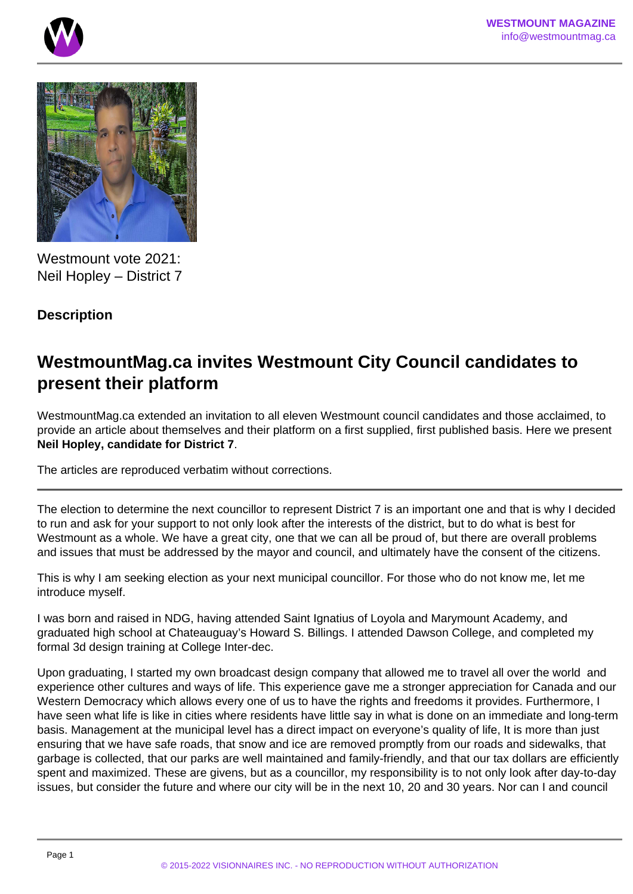



Westmount vote 2021: Neil Hopley – District 7

## **Description**

## **WestmountMag.ca invites Westmount City Council candidates to present their platform**

WestmountMag.ca extended an invitation to all eleven Westmount council candidates and those acclaimed, to provide an article about themselves and their platform on a first supplied, first published basis. Here we present **Neil Hopley, candidate for District 7**.

The articles are reproduced verbatim without corrections.

The election to determine the next councillor to represent District 7 is an important one and that is why I decided to run and ask for your support to not only look after the interests of the district, but to do what is best for Westmount as a whole. We have a great city, one that we can all be proud of, but there are overall problems and issues that must be addressed by the mayor and council, and ultimately have the consent of the citizens.

This is why I am seeking election as your next municipal councillor. For those who do not know me, let me introduce myself.

I was born and raised in NDG, having attended Saint Ignatius of Loyola and Marymount Academy, and graduated high school at Chateauguay's Howard S. Billings. I attended Dawson College, and completed my formal 3d design training at College Inter-dec.

Upon graduating, I started my own broadcast design company that allowed me to travel all over the world and experience other cultures and ways of life. This experience gave me a stronger appreciation for Canada and our Western Democracy which allows every one of us to have the rights and freedoms it provides. Furthermore, I have seen what life is like in cities where residents have little say in what is done on an immediate and long-term basis. Management at the municipal level has a direct impact on everyone's quality of life, It is more than just ensuring that we have safe roads, that snow and ice are removed promptly from our roads and sidewalks, that garbage is collected, that our parks are well maintained and family-friendly, and that our tax dollars are efficiently spent and maximized. These are givens, but as a councillor, my responsibility is to not only look after day-to-day issues, but consider the future and where our city will be in the next 10, 20 and 30 years. Nor can I and council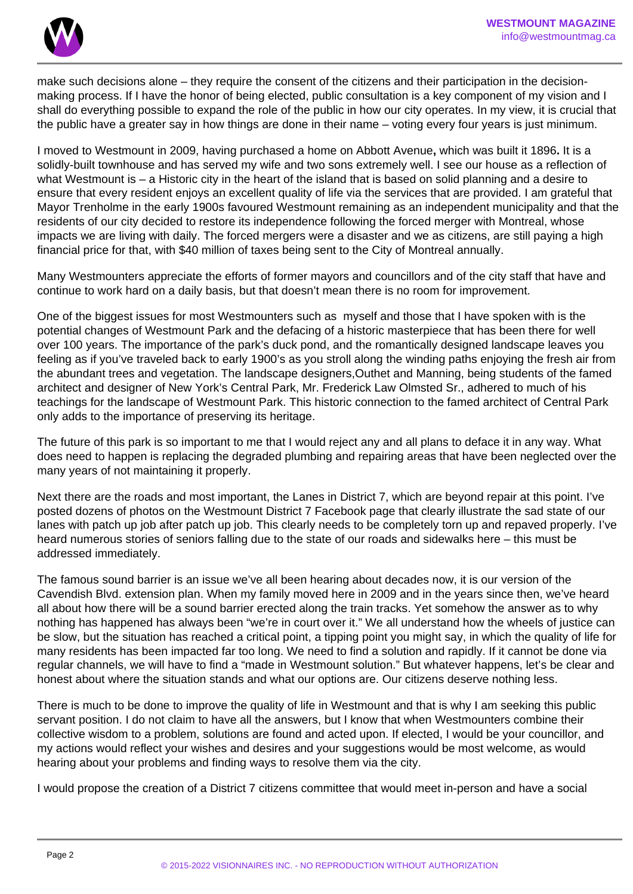

make such decisions alone – they require the consent of the citizens and their participation in the decisionmaking process. If I have the honor of being elected, public consultation is a key component of my vision and I shall do everything possible to expand the role of the public in how our city operates. In my view, it is crucial that the public have a greater say in how things are done in their name – voting every four years is just minimum.

I moved to Westmount in 2009, having purchased a home on Abbott Avenue**,** which was built it 1896**.** It is a solidly-built townhouse and has served my wife and two sons extremely well. I see our house as a reflection of what Westmount is – a Historic city in the heart of the island that is based on solid planning and a desire to ensure that every resident enjoys an excellent quality of life via the services that are provided. I am grateful that Mayor Trenholme in the early 1900s favoured Westmount remaining as an independent municipality and that the residents of our city decided to restore its independence following the forced merger with Montreal, whose impacts we are living with daily. The forced mergers were a disaster and we as citizens, are still paying a high financial price for that, with \$40 million of taxes being sent to the City of Montreal annually.

Many Westmounters appreciate the efforts of former mayors and councillors and of the city staff that have and continue to work hard on a daily basis, but that doesn't mean there is no room for improvement.

One of the biggest issues for most Westmounters such as myself and those that I have spoken with is the potential changes of Westmount Park and the defacing of a historic masterpiece that has been there for well over 100 years. The importance of the park's duck pond, and the romantically designed landscape leaves you feeling as if you've traveled back to early 1900's as you stroll along the winding paths enjoying the fresh air from the abundant trees and vegetation. The landscape designers,Outhet and Manning, being students of the famed architect and designer of New York's Central Park, Mr. Frederick Law Olmsted Sr., adhered to much of his teachings for the landscape of Westmount Park. This historic connection to the famed architect of Central Park only adds to the importance of preserving its heritage.

The future of this park is so important to me that I would reject any and all plans to deface it in any way. What does need to happen is replacing the degraded plumbing and repairing areas that have been neglected over the many years of not maintaining it properly.

Next there are the roads and most important, the Lanes in District 7, which are beyond repair at this point. I've posted dozens of photos on the Westmount District 7 Facebook page that clearly illustrate the sad state of our lanes with patch up job after patch up job. This clearly needs to be completely torn up and repaved properly. I've heard numerous stories of seniors falling due to the state of our roads and sidewalks here – this must be addressed immediately.

The famous sound barrier is an issue we've all been hearing about decades now, it is our version of the Cavendish Blvd. extension plan. When my family moved here in 2009 and in the years since then, we've heard all about how there will be a sound barrier erected along the train tracks. Yet somehow the answer as to why nothing has happened has always been "we're in court over it." We all understand how the wheels of justice can be slow, but the situation has reached a critical point, a tipping point you might say, in which the quality of life for many residents has been impacted far too long. We need to find a solution and rapidly. If it cannot be done via regular channels, we will have to find a "made in Westmount solution." But whatever happens, let's be clear and honest about where the situation stands and what our options are. Our citizens deserve nothing less.

There is much to be done to improve the quality of life in Westmount and that is why I am seeking this public servant position. I do not claim to have all the answers, but I know that when Westmounters combine their collective wisdom to a problem, solutions are found and acted upon. If elected, I would be your councillor, and my actions would reflect your wishes and desires and your suggestions would be most welcome, as would hearing about your problems and finding ways to resolve them via the city.

I would propose the creation of a District 7 citizens committee that would meet in-person and have a social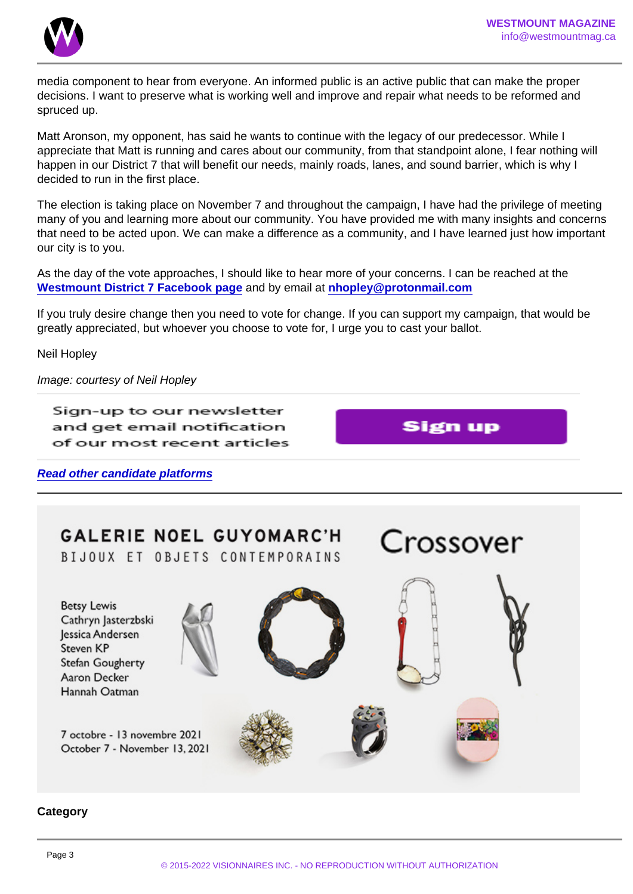media component to hear from everyone. An informed public is an active public that can make the proper decisions. I want to preserve what is working well and improve and repair what needs to be reformed and spruced up.

Matt Aronson, my opponent, has said he wants to continue with the legacy of our predecessor. While I appreciate that Matt is running and cares about our community, from that standpoint alone, I fear nothing will happen in our District 7 that will benefit our needs, mainly roads, lanes, and sound barrier, which is why I decided to run in the first place.

The election is taking place on November 7 and throughout the campaign, I have had the privilege of meeting many of you and learning more about our community. You have provided me with many insights and concerns that need to be acted upon. We can make a difference as a community, and I have learned just how important our city is to you.

As the day of the vote approaches, I should like to hear more of your concerns. I can be reached at the [Westmount District 7 Facebook page](https://www.facebook.com/groups/westmountdistrict7) and by email at [nhopley@protonmail.com](mailto:nhopley@protonmail.com)

If you truly desire change then you need to vote for change. If you can support my campaign, that would be greatly appreciated, but whoever you choose to vote for, I urge you to cast your ballot.

Neil Hopley

Image: courtesy of Neil Hopley

Read other candidate platforms

**Category**